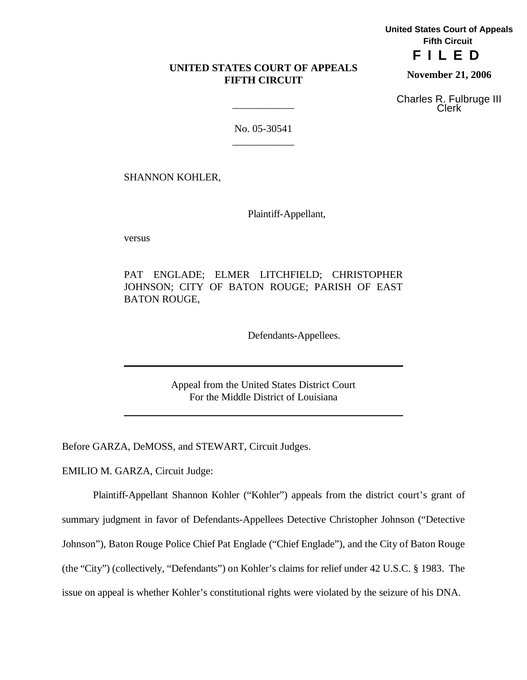# **UNITED STATES COURT OF APPEALS FIFTH CIRCUIT**

**United States Court of Appeals Fifth Circuit FILED**

**November 21, 2006**

Charles R. Fulbruge III Clerk

No. 05-30541 \_\_\_\_\_\_\_\_\_\_\_\_

\_\_\_\_\_\_\_\_\_\_\_\_

SHANNON KOHLER,

Plaintiff-Appellant,

versus

PAT ENGLADE; ELMER LITCHFIELD; CHRISTOPHER JOHNSON; CITY OF BATON ROUGE; PARISH OF EAST BATON ROUGE,

Defendants-Appellees.

Appeal from the United States District Court For the Middle District of Louisiana

Before GARZA, DeMOSS, and STEWART, Circuit Judges.

EMILIO M. GARZA, Circuit Judge:

Plaintiff-Appellant Shannon Kohler ("Kohler") appeals from the district court's grant of summary judgment in favor of Defendants-Appellees Detective Christopher Johnson ("Detective Johnson"), Baton Rouge Police Chief Pat Englade ("Chief Englade"), and the City of Baton Rouge (the "City") (collectively, "Defendants") on Kohler's claims for relief under 42 U.S.C. § 1983. The issue on appeal is whether Kohler's constitutional rights were violated by the seizure of his DNA.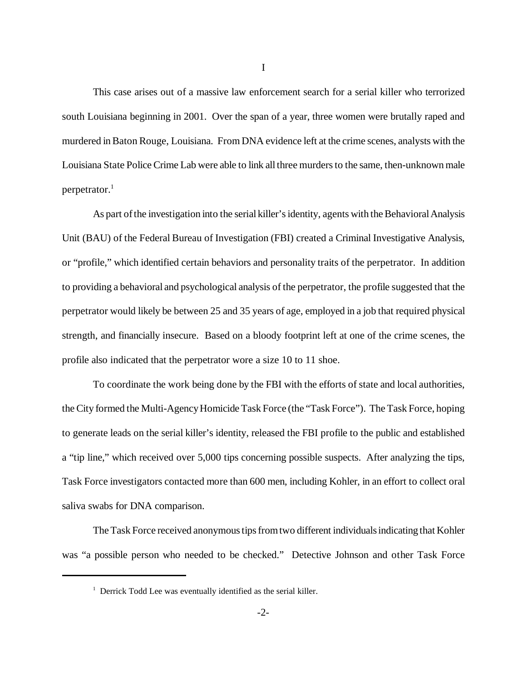This case arises out of a massive law enforcement search for a serial killer who terrorized south Louisiana beginning in 2001. Over the span of a year, three women were brutally raped and murdered inBaton Rouge, Louisiana. From DNA evidence left at the crime scenes, analysts with the Louisiana State Police Crime Lab were able to link all three murders to the same, then-unknown male perpetrator. $<sup>1</sup>$ </sup>

As part of the investigation into the serial killer's identity, agents with the Behavioral Analysis Unit (BAU) of the Federal Bureau of Investigation (FBI) created a Criminal Investigative Analysis, or "profile," which identified certain behaviors and personality traits of the perpetrator. In addition to providing a behavioral and psychological analysis of the perpetrator, the profile suggested that the perpetrator would likely be between 25 and 35 years of age, employed in a job that required physical strength, and financially insecure. Based on a bloody footprint left at one of the crime scenes, the profile also indicated that the perpetrator wore a size 10 to 11 shoe.

To coordinate the work being done by the FBI with the efforts of state and local authorities, the City formed the Multi-Agency Homicide Task Force (the "Task Force"). The Task Force, hoping to generate leads on the serial killer's identity, released the FBI profile to the public and established a "tip line," which received over 5,000 tips concerning possible suspects. After analyzing the tips, Task Force investigators contacted more than 600 men, including Kohler, in an effort to collect oral saliva swabs for DNA comparison.

The Task Force received anonymous tips from two different individuals indicating that Kohler was "a possible person who needed to be checked." Detective Johnson and other Task Force

 $1$  Derrick Todd Lee was eventually identified as the serial killer.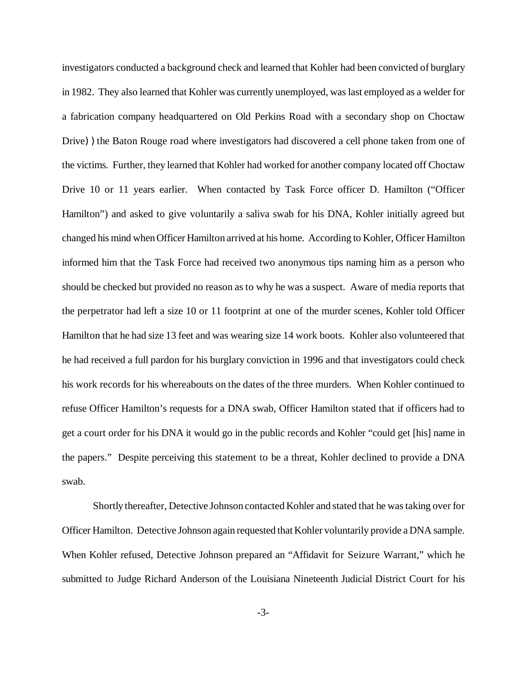investigators conducted a background check and learned that Kohler had been convicted of burglary in 1982. They also learned that Kohler was currently unemployed, was last employed as a welder for a fabrication company headquartered on Old Perkins Road with a secondary shop on Choctaw Drive)) the Baton Rouge road where investigators had discovered a cell phone taken from one of the victims. Further, they learned that Kohler had worked for another company located off Choctaw Drive 10 or 11 years earlier. When contacted by Task Force officer D. Hamilton ("Officer Hamilton") and asked to give voluntarily a saliva swab for his DNA, Kohler initially agreed but changed his mind whenOfficer Hamilton arrived at his home. According to Kohler, Officer Hamilton informed him that the Task Force had received two anonymous tips naming him as a person who should be checked but provided no reason as to why he was a suspect. Aware of media reports that the perpetrator had left a size 10 or 11 footprint at one of the murder scenes, Kohler told Officer Hamilton that he had size 13 feet and was wearing size 14 work boots. Kohler also volunteered that he had received a full pardon for his burglary conviction in 1996 and that investigators could check his work records for his whereabouts on the dates of the three murders. When Kohler continued to refuse Officer Hamilton's requests for a DNA swab, Officer Hamilton stated that if officers had to get a court order for his DNA it would go in the public records and Kohler "could get [his] name in the papers." Despite perceiving this statement to be a threat, Kohler declined to provide a DNA swab.

Shortly thereafter, Detective Johnson contacted Kohler and stated that he wastaking over for Officer Hamilton. Detective Johnson again requested that Kohler voluntarily provide a DNA sample. When Kohler refused, Detective Johnson prepared an "Affidavit for Seizure Warrant," which he submitted to Judge Richard Anderson of the Louisiana Nineteenth Judicial District Court for his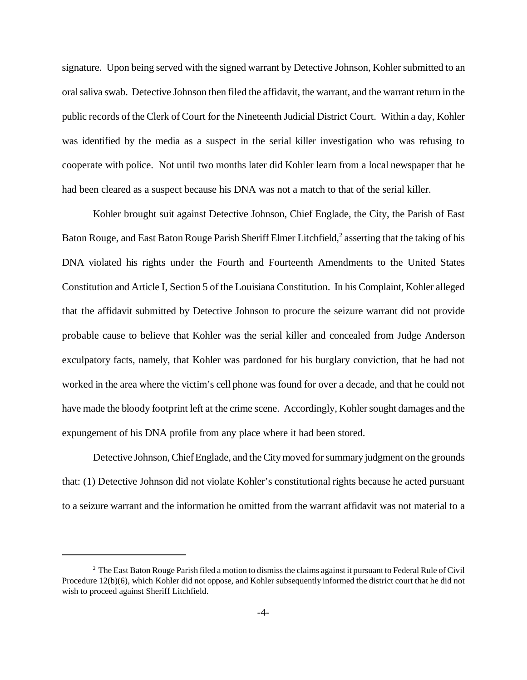signature. Upon being served with the signed warrant by Detective Johnson, Kohler submitted to an oralsaliva swab. Detective Johnson then filed the affidavit, the warrant, and the warrant return in the public records of the Clerk of Court for the Nineteenth Judicial District Court. Within a day, Kohler was identified by the media as a suspect in the serial killer investigation who was refusing to cooperate with police. Not until two months later did Kohler learn from a local newspaper that he had been cleared as a suspect because his DNA was not a match to that of the serial killer.

Kohler brought suit against Detective Johnson, Chief Englade, the City, the Parish of East Baton Rouge, and East Baton Rouge Parish Sheriff Elmer Litchfield,<sup>2</sup> asserting that the taking of his DNA violated his rights under the Fourth and Fourteenth Amendments to the United States Constitution and Article I, Section 5 of the Louisiana Constitution. In his Complaint, Kohler alleged that the affidavit submitted by Detective Johnson to procure the seizure warrant did not provide probable cause to believe that Kohler was the serial killer and concealed from Judge Anderson exculpatory facts, namely, that Kohler was pardoned for his burglary conviction, that he had not worked in the area where the victim's cell phone was found for over a decade, and that he could not have made the bloody footprint left at the crime scene. Accordingly, Kohler sought damages and the expungement of his DNA profile from any place where it had been stored.

Detective Johnson, Chief Englade, and the City moved for summary judgment on the grounds that: (1) Detective Johnson did not violate Kohler's constitutional rights because he acted pursuant to a seizure warrant and the information he omitted from the warrant affidavit was not material to a

 $2$  The East Baton Rouge Parish filed a motion to dismiss the claims against it pursuant to Federal Rule of Civil Procedure 12(b)(6), which Kohler did not oppose, and Kohler subsequently informed the district court that he did not wish to proceed against Sheriff Litchfield.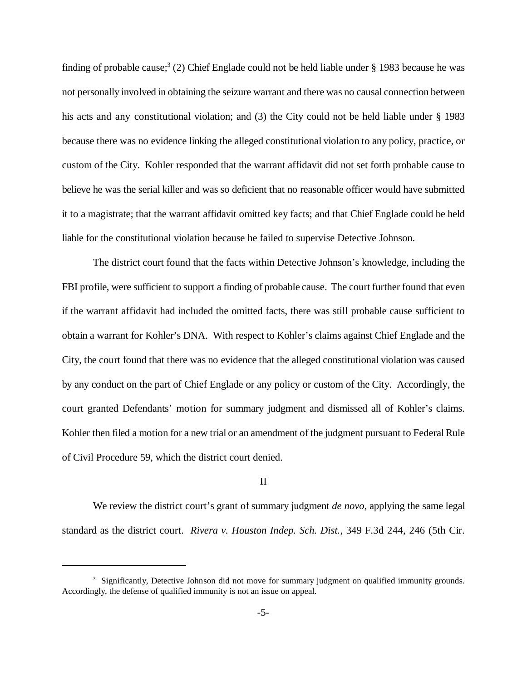finding of probable cause;<sup>3</sup> (2) Chief Englade could not be held liable under § 1983 because he was not personally involved in obtaining the seizure warrant and there was no causal connection between his acts and any constitutional violation; and (3) the City could not be held liable under § 1983 because there was no evidence linking the alleged constitutional violation to any policy, practice, or custom of the City. Kohler responded that the warrant affidavit did not set forth probable cause to believe he was the serial killer and was so deficient that no reasonable officer would have submitted it to a magistrate; that the warrant affidavit omitted key facts; and that Chief Englade could be held liable for the constitutional violation because he failed to supervise Detective Johnson.

The district court found that the facts within Detective Johnson's knowledge, including the FBI profile, were sufficient to support a finding of probable cause. The court further found that even if the warrant affidavit had included the omitted facts, there was still probable cause sufficient to obtain a warrant for Kohler's DNA. With respect to Kohler's claims against Chief Englade and the City, the court found that there was no evidence that the alleged constitutional violation was caused by any conduct on the part of Chief Englade or any policy or custom of the City. Accordingly, the court granted Defendants' motion for summary judgment and dismissed all of Kohler's claims. Kohler then filed a motion for a new trial or an amendment of the judgment pursuant to Federal Rule of Civil Procedure 59, which the district court denied.

## II

We review the district court's grant of summary judgment *de novo*, applying the same legal standard as the district court. *Rivera v. Houston Indep. Sch. Dist.*, 349 F.3d 244, 246 (5th Cir.

<sup>&</sup>lt;sup>3</sup> Significantly, Detective Johnson did not move for summary judgment on qualified immunity grounds. Accordingly, the defense of qualified immunity is not an issue on appeal.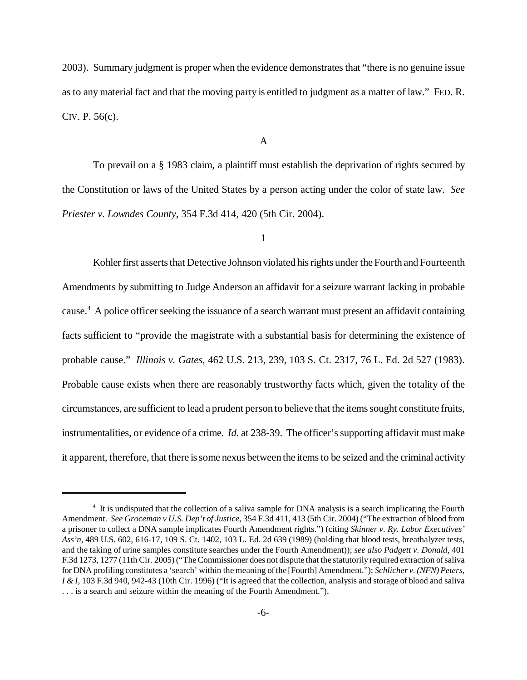2003). Summary judgment is proper when the evidence demonstrates that "there is no genuine issue as to any material fact and that the moving party is entitled to judgment as a matter of law." FED. R. CIV. P. 56(c).

#### A

To prevail on a § 1983 claim, a plaintiff must establish the deprivation of rights secured by the Constitution or laws of the United States by a person acting under the color of state law. *See Priester v. Lowndes County*, 354 F.3d 414, 420 (5th Cir. 2004).

1

Kohler first asserts that Detective Johnson violated his rights under the Fourth and Fourteenth Amendments by submitting to Judge Anderson an affidavit for a seizure warrant lacking in probable cause.<sup>4</sup> A police officer seeking the issuance of a search warrant must present an affidavit containing facts sufficient to "provide the magistrate with a substantial basis for determining the existence of probable cause." *Illinois v. Gates*, 462 U.S. 213, 239, 103 S. Ct. 2317, 76 L. Ed. 2d 527 (1983). Probable cause exists when there are reasonably trustworthy facts which, given the totality of the circumstances, are sufficient to lead a prudent person to believe that the itemssought constitute fruits, instrumentalities, or evidence of a crime. *Id.* at 238-39. The officer's supporting affidavit must make it apparent, therefore, that there issome nexus between the itemsto be seized and the criminal activity

<sup>4</sup> It is undisputed that the collection of a saliva sample for DNA analysis is a search implicating the Fourth Amendment. *See Groceman v U.S. Dep't of Justice*, 354 F.3d 411, 413 (5th Cir. 2004) ("The extraction of blood from a prisoner to collect a DNA sample implicates Fourth Amendment rights.") (citing *Skinner v. Ry. Labor Executives' Ass'n*, 489 U.S. 602, 616-17, 109 S. Ct. 1402, 103 L. Ed. 2d 639 (1989) (holding that blood tests, breathalyzer tests, and the taking of urine samples constitute searches under the Fourth Amendment)); *see also Padgett v. Donald*, 401 F.3d 1273, 1277 (11th Cir. 2005) ("TheCommissioner does not dispute that the statutorilyrequired extraction ofsaliva for DNA profiling constitutes a 'search' within the meaning ofthe [Fourth] Amendment."); *Schlicher v. (NFN)Peters, I & I*, 103 F.3d 940, 942-43 (10th Cir. 1996) ("It is agreed that the collection, analysis and storage of blood and saliva . . . is a search and seizure within the meaning of the Fourth Amendment.").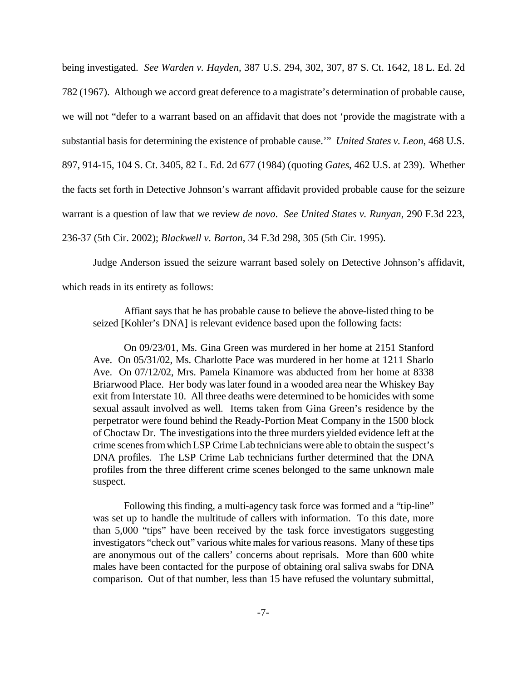being investigated. *See Warden v. Hayden*, 387 U.S. 294, 302, 307, 87 S. Ct. 1642, 18 L. Ed. 2d 782 (1967). Although we accord great deference to a magistrate's determination of probable cause, we will not "defer to a warrant based on an affidavit that does not 'provide the magistrate with a substantial basis for determining the existence of probable cause.'" *United States v. Leon*, 468 U.S. 897, 914-15, 104 S. Ct. 3405, 82 L. Ed. 2d 677 (1984) (quoting *Gates*, 462 U.S. at 239). Whether the facts set forth in Detective Johnson's warrant affidavit provided probable cause for the seizure warrant is a question of law that we review *de novo*. *See United States v. Runyan*, 290 F.3d 223, 236-37 (5th Cir. 2002); *Blackwell v. Barton*, 34 F.3d 298, 305 (5th Cir. 1995).

Judge Anderson issued the seizure warrant based solely on Detective Johnson's affidavit, which reads in its entirety as follows:

Affiant says that he has probable cause to believe the above-listed thing to be seized [Kohler's DNA] is relevant evidence based upon the following facts:

On 09/23/01, Ms. Gina Green was murdered in her home at 2151 Stanford Ave. On 05/31/02, Ms. Charlotte Pace was murdered in her home at 1211 Sharlo Ave. On 07/12/02, Mrs. Pamela Kinamore was abducted from her home at 8338 Briarwood Place. Her body was later found in a wooded area near the Whiskey Bay exit from Interstate 10. All three deaths were determined to be homicides with some sexual assault involved as well. Items taken from Gina Green's residence by the perpetrator were found behind the Ready-Portion Meat Company in the 1500 block of Choctaw Dr. The investigations into the three murders yielded evidence left at the crime scenes from which LSP Crime Lab technicians were able to obtain the suspect's DNA profiles. The LSP Crime Lab technicians further determined that the DNA profiles from the three different crime scenes belonged to the same unknown male suspect.

Following this finding, a multi-agency task force was formed and a "tip-line" was set up to handle the multitude of callers with information. To this date, more than 5,000 "tips" have been received by the task force investigators suggesting investigators "check out" various white males for various reasons. Many of these tips are anonymous out of the callers' concerns about reprisals. More than 600 white males have been contacted for the purpose of obtaining oral saliva swabs for DNA comparison. Out of that number, less than 15 have refused the voluntary submittal,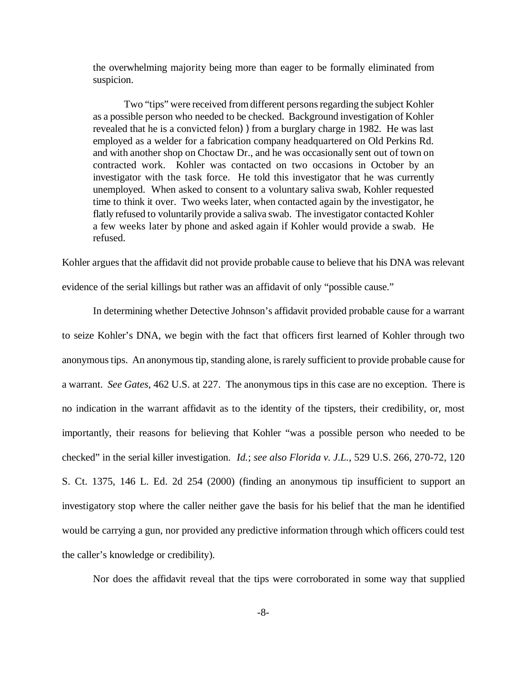the overwhelming majority being more than eager to be formally eliminated from suspicion.

Two "tips" were received from different persons regarding the subject Kohler as a possible person who needed to be checked. Background investigation of Kohler revealed that he is a convicted felon) from a burglary charge in 1982. He was last employed as a welder for a fabrication company headquartered on Old Perkins Rd. and with another shop on Choctaw Dr., and he was occasionally sent out of town on contracted work. Kohler was contacted on two occasions in October by an investigator with the task force. He told this investigator that he was currently unemployed. When asked to consent to a voluntary saliva swab, Kohler requested time to think it over. Two weeks later, when contacted again by the investigator, he flatly refused to voluntarily provide a saliva swab. The investigator contacted Kohler a few weeks later by phone and asked again if Kohler would provide a swab. He refused.

Kohler argues that the affidavit did not provide probable cause to believe that his DNA was relevant evidence of the serial killings but rather was an affidavit of only "possible cause."

In determining whether Detective Johnson's affidavit provided probable cause for a warrant to seize Kohler's DNA, we begin with the fact that officers first learned of Kohler through two anonymoustips. An anonymous tip, standing alone, is rarely sufficient to provide probable cause for a warrant. *See Gates*, 462 U.S. at 227. The anonymous tips in this case are no exception. There is no indication in the warrant affidavit as to the identity of the tipsters, their credibility, or, most importantly, their reasons for believing that Kohler "was a possible person who needed to be checked" in the serial killer investigation. *Id.*; *see also Florida v. J.L.*, 529 U.S. 266, 270-72, 120 S. Ct. 1375, 146 L. Ed. 2d 254 (2000) (finding an anonymous tip insufficient to support an investigatory stop where the caller neither gave the basis for his belief that the man he identified would be carrying a gun, nor provided any predictive information through which officers could test the caller's knowledge or credibility).

Nor does the affidavit reveal that the tips were corroborated in some way that supplied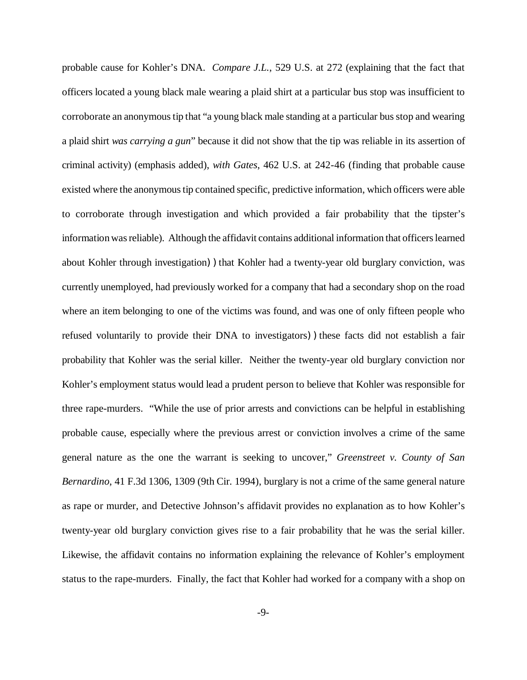probable cause for Kohler's DNA. *Compare J.L.*, 529 U.S. at 272 (explaining that the fact that officers located a young black male wearing a plaid shirt at a particular bus stop was insufficient to corroborate an anonymous tip that "a young black male standing at a particular bus stop and wearing a plaid shirt *was carrying a gun*" because it did not show that the tip was reliable in its assertion of criminal activity) (emphasis added), *with Gates*, 462 U.S. at 242-46 (finding that probable cause existed where the anonymous tip contained specific, predictive information, which officers were able to corroborate through investigation and which provided a fair probability that the tipster's informationwasreliable). Although the affidavit contains additional information that officers learned about Kohler through investigation)) that Kohler had a twenty-year old burglary conviction, was currently unemployed, had previously worked for a company that had a secondary shop on the road where an item belonging to one of the victims was found, and was one of only fifteen people who refused voluntarily to provide their DNA to investigators))these facts did not establish a fair probability that Kohler was the serial killer. Neither the twenty-year old burglary conviction nor Kohler's employment status would lead a prudent person to believe that Kohler was responsible for three rape-murders. "While the use of prior arrests and convictions can be helpful in establishing probable cause, especially where the previous arrest or conviction involves a crime of the same general nature as the one the warrant is seeking to uncover," *Greenstreet v. County of San Bernardino*, 41 F.3d 1306, 1309 (9th Cir. 1994), burglary is not a crime of the same general nature as rape or murder, and Detective Johnson's affidavit provides no explanation as to how Kohler's twenty-year old burglary conviction gives rise to a fair probability that he was the serial killer. Likewise, the affidavit contains no information explaining the relevance of Kohler's employment status to the rape-murders. Finally, the fact that Kohler had worked for a company with a shop on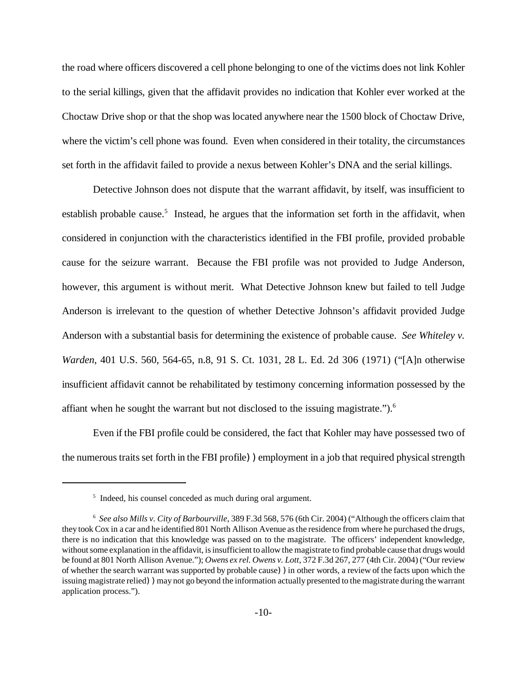the road where officers discovered a cell phone belonging to one of the victims does not link Kohler to the serial killings, given that the affidavit provides no indication that Kohler ever worked at the Choctaw Drive shop or that the shop was located anywhere near the 1500 block of Choctaw Drive, where the victim's cell phone was found. Even when considered in their totality, the circumstances set forth in the affidavit failed to provide a nexus between Kohler's DNA and the serial killings.

Detective Johnson does not dispute that the warrant affidavit, by itself, was insufficient to establish probable cause.<sup>5</sup> Instead, he argues that the information set forth in the affidavit, when considered in conjunction with the characteristics identified in the FBI profile, provided probable cause for the seizure warrant. Because the FBI profile was not provided to Judge Anderson, however, this argument is without merit. What Detective Johnson knew but failed to tell Judge Anderson is irrelevant to the question of whether Detective Johnson's affidavit provided Judge Anderson with a substantial basis for determining the existence of probable cause. *See Whiteley v. Warden*, 401 U.S. 560, 564-65, n.8, 91 S. Ct. 1031, 28 L. Ed. 2d 306 (1971) ("[A]n otherwise insufficient affidavit cannot be rehabilitated by testimony concerning information possessed by the affiant when he sought the warrant but not disclosed to the issuing magistrate.").<sup>6</sup>

Even if the FBI profile could be considered, the fact that Kohler may have possessed two of the numerous traits set forth in the FBI profile) employment in a job that required physical strength

<sup>&</sup>lt;sup>5</sup> Indeed, his counsel conceded as much during oral argument.

<sup>6</sup> *See also Mills v. City of Barbourville*, 389 F.3d 568, 576 (6th Cir. 2004) ("Although the officers claim that they took Cox in a car and he identified 801 North Allison Avenue as the residence from where he purchased the drugs, there is no indication that this knowledge was passed on to the magistrate. The officers' independent knowledge, without some explanation in the affidavit, is insufficient to allow the magistrate to find probable cause that drugs would be found at 801 North Allison Avenue."); *Owens ex rel. Owens v. Lott*, 372 F.3d 267, 277 (4th Cir. 2004) ("Our review of whether the search warrant was supported by probable cause))in other words, a review of the facts upon which the issuing magistrate relied) may not go beyond the information actually presented to the magistrate during the warrant application process.").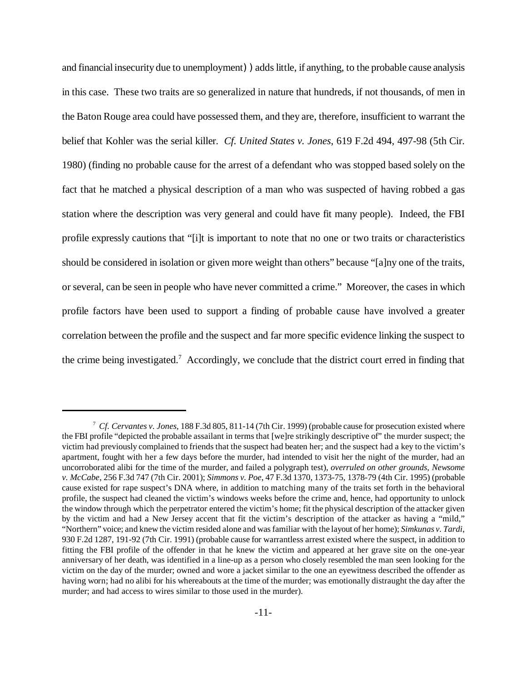and financial insecurity due to unemployment) adds little, if anything, to the probable cause analysis in this case. These two traits are so generalized in nature that hundreds, if not thousands, of men in the Baton Rouge area could have possessed them, and they are, therefore, insufficient to warrant the belief that Kohler was the serial killer. *Cf. United States v. Jones*, 619 F.2d 494, 497-98 (5th Cir. 1980) (finding no probable cause for the arrest of a defendant who was stopped based solely on the fact that he matched a physical description of a man who was suspected of having robbed a gas station where the description was very general and could have fit many people). Indeed, the FBI profile expressly cautions that "[i]t is important to note that no one or two traits or characteristics should be considered in isolation or given more weight than others" because "[a]ny one of the traits, or several, can be seen in people who have never committed a crime." Moreover, the cases in which profile factors have been used to support a finding of probable cause have involved a greater correlation between the profile and the suspect and far more specific evidence linking the suspect to the crime being investigated.<sup>7</sup> Accordingly, we conclude that the district court erred in finding that

<sup>7</sup> *Cf. Cervantes v. Jones*, 188 F.3d 805, 811-14 (7th Cir. 1999) (probable cause for prosecution existed where the FBI profile "depicted the probable assailant in terms that [we]re strikingly descriptive of" the murder suspect; the victim had previously complained to friends that the suspect had beaten her; and the suspect had a key to the victim's apartment, fought with her a few days before the murder, had intended to visit her the night of the murder, had an uncorroborated alibi for the time of the murder, and failed a polygraph test), *overruled on other grounds*, *Newsome v. McCabe*, 256 F.3d 747 (7th Cir. 2001); *Simmons v. Poe*, 47 F.3d 1370, 1373-75, 1378-79 (4th Cir. 1995) (probable cause existed for rape suspect's DNA where, in addition to matching many of the traits set forth in the behavioral profile, the suspect had cleaned the victim's windows weeks before the crime and, hence, had opportunity to unlock the window through which the perpetrator entered the victim's home; fit the physical description of the attacker given by the victim and had a New Jersey accent that fit the victim's description of the attacker as having a "mild," "Northern" voice; and knew the victim resided alone and wasfamiliar with the layout of her home); *Simkunas v. Tardi*, 930 F.2d 1287, 191-92 (7th Cir. 1991) (probable cause for warrantless arrest existed where the suspect, in addition to fitting the FBI profile of the offender in that he knew the victim and appeared at her grave site on the one-year anniversary of her death, was identified in a line-up as a person who closely resembled the man seen looking for the victim on the day of the murder; owned and wore a jacket similar to the one an eyewitness described the offender as having worn; had no alibi for his whereabouts at the time of the murder; was emotionally distraught the day after the murder; and had access to wires similar to those used in the murder).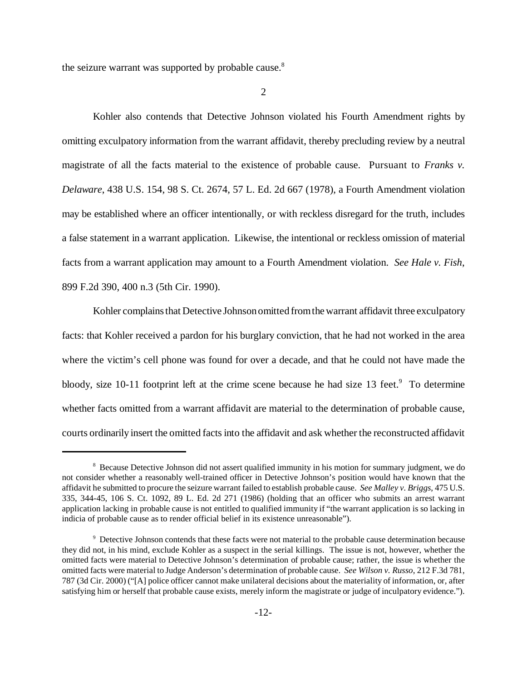the seizure warrant was supported by probable cause.<sup>8</sup>

2

Kohler also contends that Detective Johnson violated his Fourth Amendment rights by omitting exculpatory information from the warrant affidavit, thereby precluding review by a neutral magistrate of all the facts material to the existence of probable cause. Pursuant to *Franks v. Delaware*, 438 U.S. 154, 98 S. Ct. 2674, 57 L. Ed. 2d 667 (1978), a Fourth Amendment violation may be established where an officer intentionally, or with reckless disregard for the truth, includes a false statement in a warrant application. Likewise, the intentional or reckless omission of material facts from a warrant application may amount to a Fourth Amendment violation. *See Hale v. Fish*, 899 F.2d 390, 400 n.3 (5th Cir. 1990).

Kohler complains that Detective Johnson omitted from the warrant affidavit three exculpatory facts: that Kohler received a pardon for his burglary conviction, that he had not worked in the area where the victim's cell phone was found for over a decade, and that he could not have made the bloody, size 10-11 footprint left at the crime scene because he had size 13 feet. $9$  To determine whether facts omitted from a warrant affidavit are material to the determination of probable cause, courts ordinarily insert the omitted factsinto the affidavit and ask whether the reconstructed affidavit

<sup>8</sup> Because Detective Johnson did not assert qualified immunity in his motion for summary judgment, we do not consider whether a reasonably well-trained officer in Detective Johnson's position would have known that the affidavit he submitted to procure the seizure warrant failed to establish probable cause. *See Malley v. Briggs*, 475 U.S. 335, 344-45, 106 S. Ct. 1092, 89 L. Ed. 2d 271 (1986) (holding that an officer who submits an arrest warrant application lacking in probable cause is not entitled to qualified immunity if "the warrant application is so lacking in indicia of probable cause as to render official belief in its existence unreasonable").

<sup>9</sup> Detective Johnson contends that these facts were not material to the probable cause determination because they did not, in his mind, exclude Kohler as a suspect in the serial killings. The issue is not, however, whether the omitted facts were material to Detective Johnson's determination of probable cause; rather, the issue is whether the omitted facts were material to Judge Anderson's determination of probable cause. *See Wilson v. Russo*, 212 F.3d 781, 787 (3d Cir. 2000) ("[A] police officer cannot make unilateral decisions about the materiality of information, or, after satisfying him or herself that probable cause exists, merely inform the magistrate or judge of inculpatory evidence.").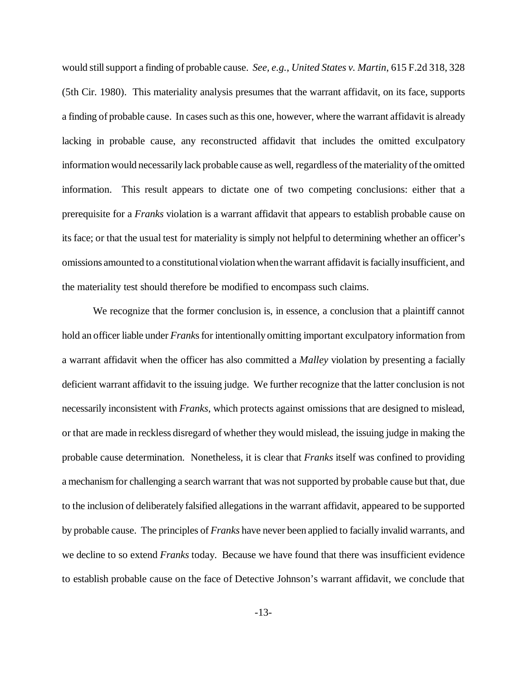would stillsupport a finding of probable cause. *See, e.g.*, *United States v. Martin*, 615 F.2d 318, 328 (5th Cir. 1980). This materiality analysis presumes that the warrant affidavit, on its face, supports a finding of probable cause. In cases such as this one, however, where the warrant affidavit is already lacking in probable cause, any reconstructed affidavit that includes the omitted exculpatory information would necessarily lack probable cause as well, regardless of the materiality of the omitted information. This result appears to dictate one of two competing conclusions: either that a prerequisite for a *Franks* violation is a warrant affidavit that appears to establish probable cause on its face; or that the usual test for materiality is simply not helpful to determining whether an officer's omissions amounted to a constitutional violation when the warrant affidavit is facially insufficient, and the materiality test should therefore be modified to encompass such claims.

We recognize that the former conclusion is, in essence, a conclusion that a plaintiff cannot hold an officer liable under *Franks* for intentionally omitting important exculpatory information from a warrant affidavit when the officer has also committed a *Malley* violation by presenting a facially deficient warrant affidavit to the issuing judge. We further recognize that the latter conclusion is not necessarily inconsistent with *Franks*, which protects against omissions that are designed to mislead, or that are made in reckless disregard of whether they would mislead, the issuing judge in making the probable cause determination. Nonetheless, it is clear that *Franks* itself was confined to providing a mechanismfor challenging a search warrant that was not supported by probable cause but that, due to the inclusion of deliberately falsified allegations in the warrant affidavit, appeared to be supported by probable cause. The principles of *Franks* have never been applied to facially invalid warrants, and we decline to so extend *Franks* today. Because we have found that there was insufficient evidence to establish probable cause on the face of Detective Johnson's warrant affidavit, we conclude that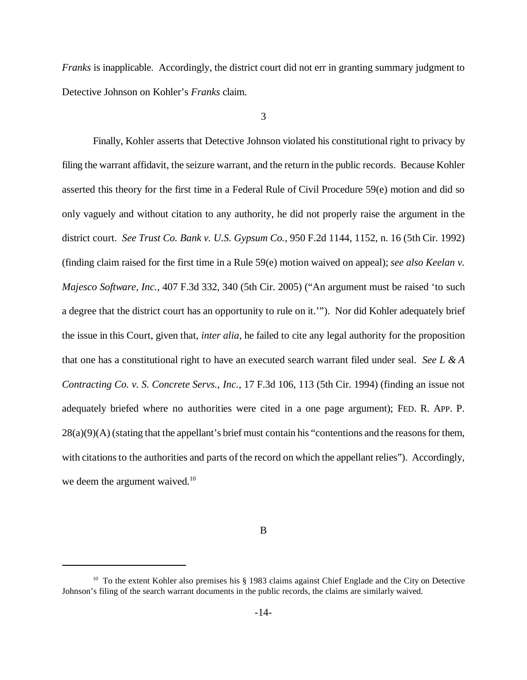*Franks* is inapplicable. Accordingly, the district court did not err in granting summary judgment to Detective Johnson on Kohler's *Franks* claim.

3

Finally, Kohler asserts that Detective Johnson violated his constitutional right to privacy by filing the warrant affidavit, the seizure warrant, and the return in the public records. Because Kohler asserted this theory for the first time in a Federal Rule of Civil Procedure 59(e) motion and did so only vaguely and without citation to any authority, he did not properly raise the argument in the district court. *See Trust Co. Bank v. U.S. Gypsum Co.*, 950 F.2d 1144, 1152, n. 16 (5th Cir. 1992) (finding claim raised for the first time in a Rule 59(e) motion waived on appeal); *see also Keelan v. Majesco Software, Inc.*, 407 F.3d 332, 340 (5th Cir. 2005) ("An argument must be raised 'to such a degree that the district court has an opportunity to rule on it.'"). Nor did Kohler adequately brief the issue in this Court, given that, *inter alia*, he failed to cite any legal authority for the proposition that one has a constitutional right to have an executed search warrant filed under seal. *See L & A Contracting Co. v. S. Concrete Servs., Inc.*, 17 F.3d 106, 113 (5th Cir. 1994) (finding an issue not adequately briefed where no authorities were cited in a one page argument); FED. R. APP. P.  $28(a)(9)(A)$  (stating that the appellant's brief must contain his "contentions and the reasons for them, with citations to the authorities and parts of the record on which the appellant relies"). Accordingly, we deem the argument waived.<sup>10</sup>

B

<sup>&</sup>lt;sup>10</sup> To the extent Kohler also premises his § 1983 claims against Chief Englade and the City on Detective Johnson's filing of the search warrant documents in the public records, the claims are similarly waived.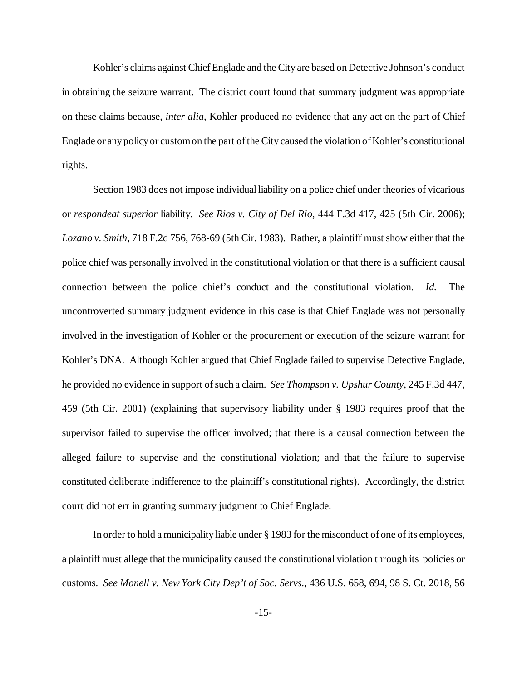Kohler's claims against Chief Englade and the City are based on Detective Johnson's conduct in obtaining the seizure warrant. The district court found that summary judgment was appropriate on these claims because, *inter alia*, Kohler produced no evidence that any act on the part of Chief Englade or any policy or custom on the part of the City caused the violation of Kohler's constitutional rights.

Section 1983 does not impose individual liability on a police chief under theories of vicarious or *respondeat superior* liability. *See Rios v. City of Del Rio*, 444 F.3d 417, 425 (5th Cir. 2006); *Lozano v. Smith*, 718 F.2d 756, 768-69 (5th Cir. 1983). Rather, a plaintiff must show either that the police chief was personally involved in the constitutional violation or that there is a sufficient causal connection between the police chief's conduct and the constitutional violation. *Id.* The uncontroverted summary judgment evidence in this case is that Chief Englade was not personally involved in the investigation of Kohler or the procurement or execution of the seizure warrant for Kohler's DNA. Although Kohler argued that Chief Englade failed to supervise Detective Englade, he provided no evidence in support of such a claim. *See Thompson v. Upshur County*, 245 F.3d 447, 459 (5th Cir. 2001) (explaining that supervisory liability under § 1983 requires proof that the supervisor failed to supervise the officer involved; that there is a causal connection between the alleged failure to supervise and the constitutional violation; and that the failure to supervise constituted deliberate indifference to the plaintiff's constitutional rights). Accordingly, the district court did not err in granting summary judgment to Chief Englade.

In order to hold a municipality liable under § 1983 for the misconduct of one of its employees, a plaintiff must allege that the municipality caused the constitutional violation through its policies or customs. *See Monell v. New York City Dep't of Soc. Servs*., 436 U.S. 658, 694, 98 S. Ct. 2018, 56